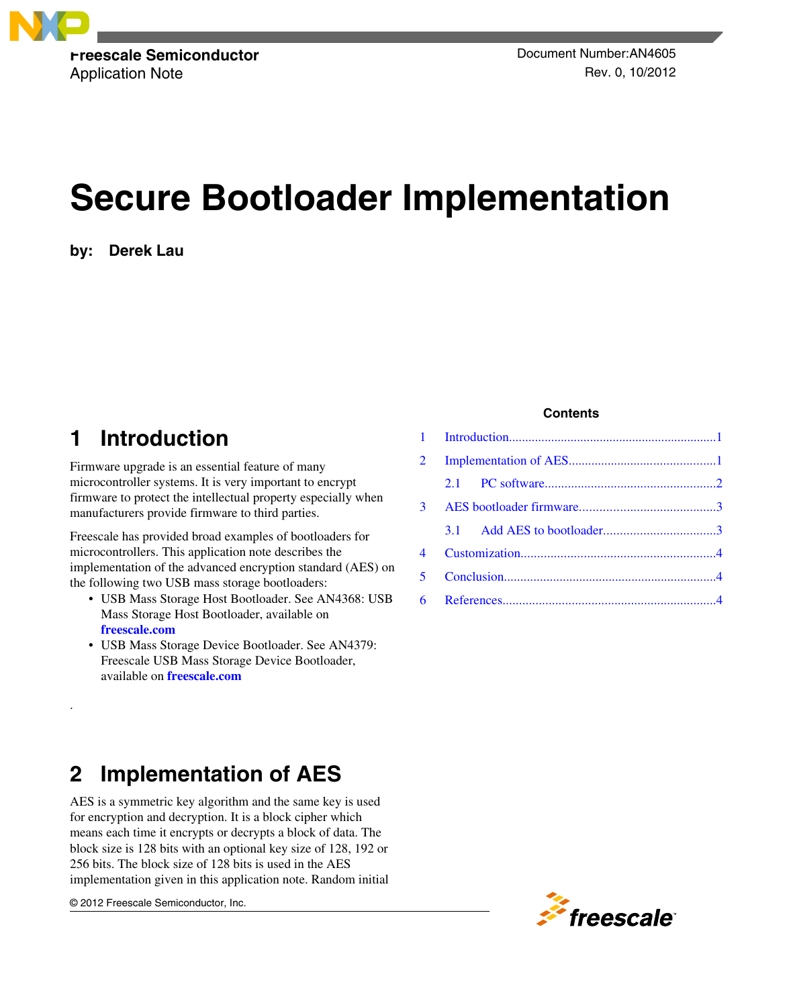

Application Note **Application** Note Rev. 0, 10/2012

# **Secure Bootloader Implementation**

**by: Derek Lau**

# **1 Introduction**

Firmware upgrade is an essential feature of many microcontroller systems. It is very important to encrypt firmware to protect the intellectual property especially when manufacturers provide firmware to third parties.

Freescale has provided broad examples of bootloaders for microcontrollers. This application note describes the implementation of the advanced encryption standard (AES) on the following two USB mass storage bootloaders:

- USB Mass Storage Host Bootloader. See AN4368: USB Mass Storage Host Bootloader, available on **[freescale.com](http://www.freescale.com)**
- USB Mass Storage Device Bootloader. See AN4379: Freescale USB Mass Storage Device Bootloader, available on **[freescale.com](http://www.freescale.com)**

#### **Contents**

| $\overline{2}$ |  |
|----------------|--|
|                |  |
|                |  |
|                |  |
|                |  |
|                |  |
|                |  |

# **2 Implementation of AES**

AES is a symmetric key algorithm and the same key is used for encryption and decryption. It is a block cipher which means each time it encrypts or decrypts a block of data. The block size is 128 bits with an optional key size of 128, 192 or 256 bits. The block size of 128 bits is used in the AES implementation given in this application note. Random initial

© 2012 Freescale Semiconductor, Inc.

.

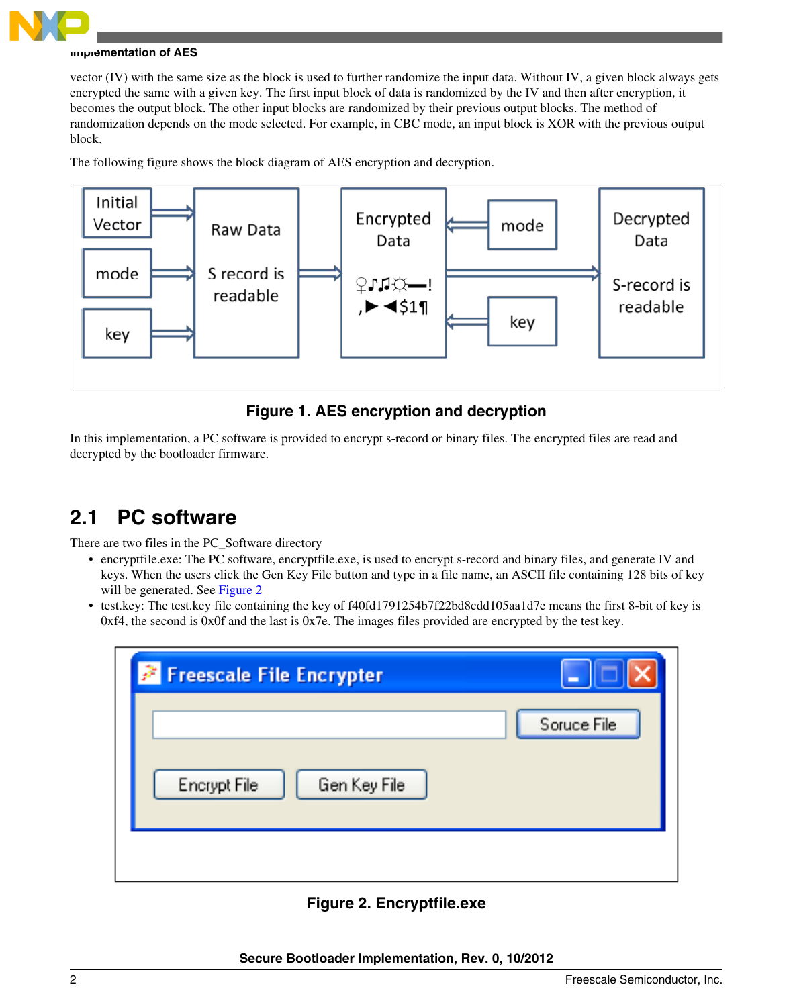<span id="page-1-0"></span>

#### **Implementation of AES**

vector (IV) with the same size as the block is used to further randomize the input data. Without IV, a given block always gets encrypted the same with a given key. The first input block of data is randomized by the IV and then after encryption, it becomes the output block. The other input blocks are randomized by their previous output blocks. The method of randomization depends on the mode selected. For example, in CBC mode, an input block is XOR with the previous output block.

The following figure shows the block diagram of AES encryption and decryption.



### **Figure 1. AES encryption and decryption**

In this implementation, a PC software is provided to encrypt s-record or binary files. The encrypted files are read and decrypted by the bootloader firmware.

### **2.1 PC software**

There are two files in the PC\_Software directory

- encryptfile.exe: The PC software, encryptfile.exe, is used to encrypt s-record and binary files, and generate IV and keys. When the users click the Gen Key File button and type in a file name, an ASCII file containing 128 bits of key will be generated. See Figure 2
- test.key: The test.key file containing the key of f40fd1791254b7f22bd8cdd105aa1d7e means the first 8-bit of key is 0xf4, the second is 0x0f and the last is 0x7e. The images files provided are encrypted by the test key.

| <b>Exercise File Encrypter</b> |             |
|--------------------------------|-------------|
| Gen Key File<br>Encrypt File   | Soruce File |
|                                |             |

### **Figure 2. Encryptfile.exe**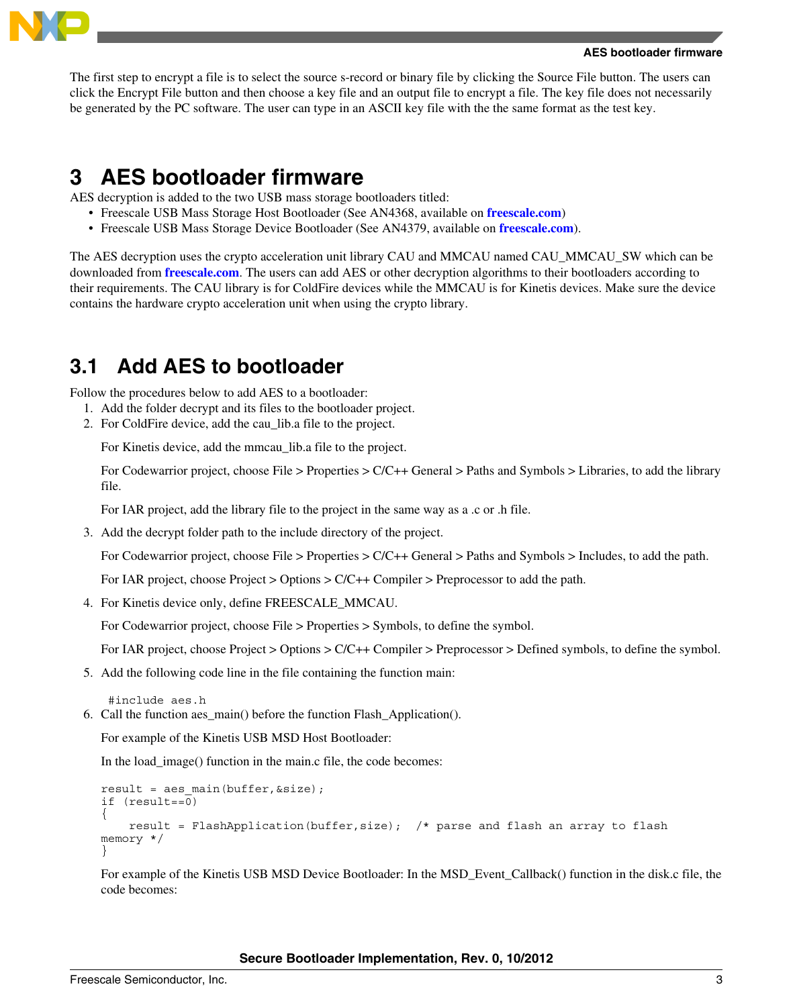<span id="page-2-0"></span>

The first step to encrypt a file is to select the source s-record or binary file by clicking the Source File button. The users can click the Encrypt File button and then choose a key file and an output file to encrypt a file. The key file does not necessarily be generated by the PC software. The user can type in an ASCII key file with the the same format as the test key.

# **3 AES bootloader firmware**

AES decryption is added to the two USB mass storage bootloaders titled:

- Freescale USB Mass Storage Host Bootloader (See AN4368, available on **[freescale.com](http://www.freescale.com)**)
- Freescale USB Mass Storage Device Bootloader (See AN4379, available on **[freescale.com](http://www.freescale.com)**).

The AES decryption uses the crypto acceleration unit library CAU and MMCAU named CAU\_MMCAU\_SW which can be downloaded from **[freescale.com](http://www.freescale.com)**. The users can add AES or other decryption algorithms to their bootloaders according to their requirements. The CAU library is for ColdFire devices while the MMCAU is for Kinetis devices. Make sure the device contains the hardware crypto acceleration unit when using the crypto library.

### **3.1 Add AES to bootloader**

Follow the procedures below to add AES to a bootloader:

- 1. Add the folder decrypt and its files to the bootloader project.
- 2. For ColdFire device, add the cau\_lib.a file to the project.

For Kinetis device, add the mmcau\_lib.a file to the project.

For Codewarrior project, choose File > Properties > C/C++ General > Paths and Symbols > Libraries, to add the library file.

For IAR project, add the library file to the project in the same way as a .c or .h file.

3. Add the decrypt folder path to the include directory of the project.

For Codewarrior project, choose File > Properties > C/C++ General > Paths and Symbols > Includes, to add the path.

For IAR project, choose Project > Options > C/C++ Compiler > Preprocessor to add the path.

4. For Kinetis device only, define FREESCALE\_MMCAU.

For Codewarrior project, choose File > Properties > Symbols, to define the symbol.

For IAR project, choose Project > Options > C/C++ Compiler > Preprocessor > Defined symbols, to define the symbol.

5. Add the following code line in the file containing the function main:

```
 #include aes.h
```
6. Call the function aes\_main() before the function Flash\_Application().

For example of the Kinetis USB MSD Host Bootloader:

In the load image() function in the main.c file, the code becomes:

```
result = aes main(buffer, &size);
if (result==0)
{ 
     result = FlashApplication(buffer,size); /* parse and flash an array to flash 
memory */ 
}
```
For example of the Kinetis USB MSD Device Bootloader: In the MSD\_Event\_Callback() function in the disk.c file, the code becomes:

**Secure Bootloader Implementation, Rev. 0, 10/2012**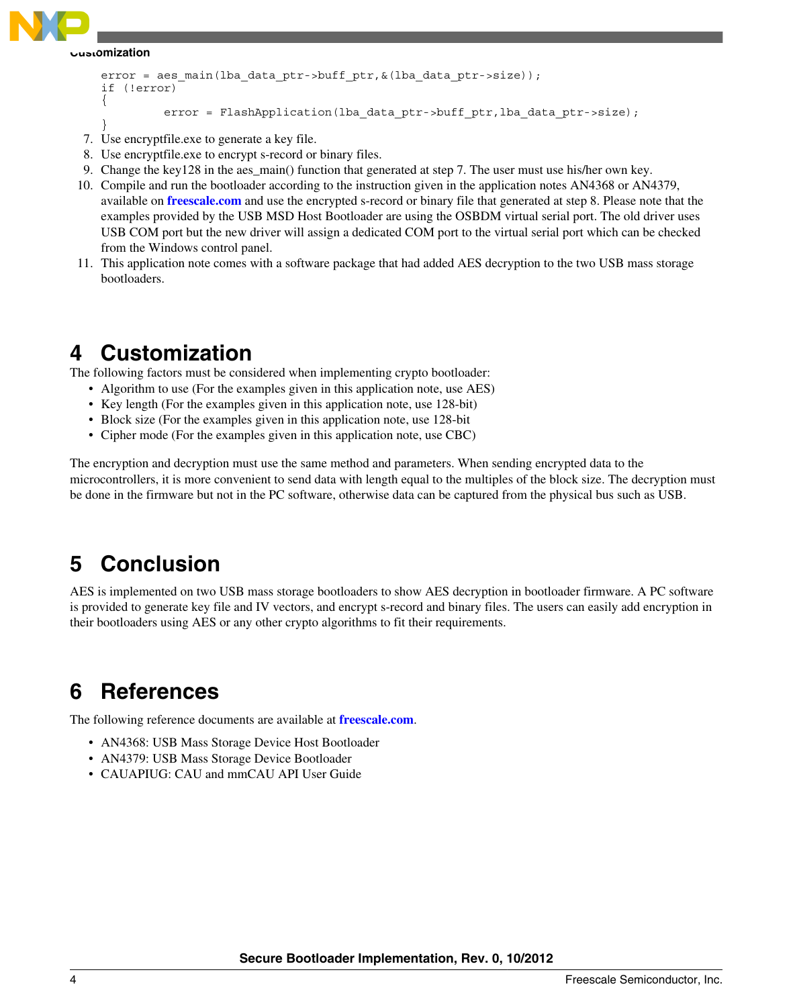<span id="page-3-0"></span>

#### **Customization**

```
error = aes main(lba data ptr->buff ptr, \&(lba data ptr->size));
if (!error)
{
         error = FlashApplication(lba_data_ptr->buff_ptr,lba_data_ptr->size);
}
```
- 7. Use encryptfile.exe to generate a key file.
- 8. Use encryptfile.exe to encrypt s-record or binary files.
- 9. Change the key128 in the aes\_main() function that generated at step 7. The user must use his/her own key.
- 10. Compile and run the bootloader according to the instruction given in the application notes AN4368 or AN4379, available on **[freescale.com](http://www.freescale.com)** and use the encrypted s-record or binary file that generated at step 8. Please note that the examples provided by the USB MSD Host Bootloader are using the OSBDM virtual serial port. The old driver uses USB COM port but the new driver will assign a dedicated COM port to the virtual serial port which can be checked from the Windows control panel.
- 11. This application note comes with a software package that had added AES decryption to the two USB mass storage bootloaders.

### **4 Customization**

The following factors must be considered when implementing crypto bootloader:

- Algorithm to use (For the examples given in this application note, use AES)
- Key length (For the examples given in this application note, use 128-bit)
- Block size (For the examples given in this application note, use 128-bit
- Cipher mode (For the examples given in this application note, use CBC)

The encryption and decryption must use the same method and parameters. When sending encrypted data to the microcontrollers, it is more convenient to send data with length equal to the multiples of the block size. The decryption must be done in the firmware but not in the PC software, otherwise data can be captured from the physical bus such as USB.

# **5 Conclusion**

AES is implemented on two USB mass storage bootloaders to show AES decryption in bootloader firmware. A PC software is provided to generate key file and IV vectors, and encrypt s-record and binary files. The users can easily add encryption in their bootloaders using AES or any other crypto algorithms to fit their requirements.

# **6 References**

The following reference documents are available at **[freescale.com](http://www.freescale.com)**.

- AN4368: USB Mass Storage Device Host Bootloader
- AN4379: USB Mass Storage Device Bootloader
- CAUAPIUG: CAU and mmCAU API User Guide